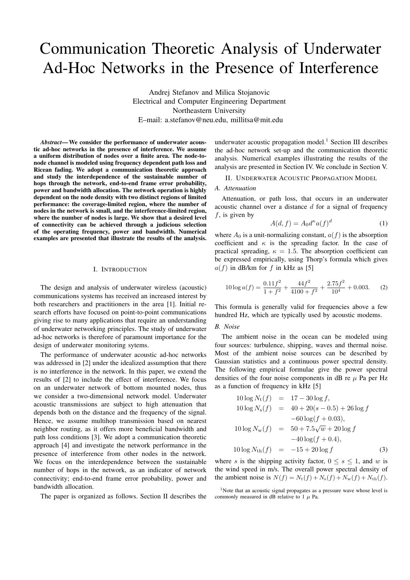# Communication Theoretic Analysis of Underwater Ad-Hoc Networks in the Presence of Interference

Andrej Stefanov and Milica Stojanovic Electrical and Computer Engineering Department Northeastern University E–mail: a.stefanov@neu.edu, millitsa@mit.edu

*Abstract*—We consider the performance of underwater acoustic ad-hoc networks in the presence of interference. We assume a uniform distribution of nodes over a finite area. The node-tonode channel is modeled using frequency dependent path loss and Ricean fading. We adopt a communication theoretic approach and study the interdependence of the sustainable number of hops through the network, end-to-end frame error probability, power and bandwidth allocation. The network operation is highly dependent on the node density with two distinct regions of limited performance: the coverage-limited region, where the number of nodes in the network is small, and the interference-limited region, where the number of nodes is large. We show that a desired level of connectivity can be achieved through a judicious selection of the operating frequency, power and bandwidth. Numerical examples are presented that illustrate the results of the analysis.

# I. INTRODUCTION

The design and analysis of underwater wireless (acoustic) communications systems has received an increased interest by both researchers and practitioners in the area [1]. Initial research efforts have focused on point-to-point communications giving rise to many applications that require an understanding of underwater networking principles. The study of underwater ad-hoc networks is therefore of paramount importance for the design of underwater monitoring sytems.

The performance of underwater acoustic ad-hoc networks was addressed in [2] under the idealized assumption that there is no interference in the network. In this paper, we extend the results of [2] to include the effect of interference. We focus on an underwater network of bottom mounted nodes, thus we consider a two-dimensional network model. Underwater acoustic transmissions are subject to high attenuation that depends both on the distance and the frequency of the signal. Hence, we assume multihop transmission based on nearest neighbor routing, as it offers more beneficial bandwidth and path loss conditions [3]. We adopt a communication theoretic approach [4] and investigate the network performance in the presence of interference from other nodes in the network. We focus on the interdependence between the sustainable number of hops in the network, as an indicator of network connectivity; end-to-end frame error probability, power and bandwidth allocation.

The paper is organized as follows. Section II describes the

underwater acoustic propagation model.<sup>1</sup> Section III describes the ad-hoc network set-up and the communication theoretic analysis. Numerical examples illustrating the results of the analysis are presented in Section IV. We conclude in Section V.

# II. UNDERWATER ACOUSTIC PROPAGATION MODEL

#### *A. Attenuation*

Attenuation, or path loss, that occurs in an underwater acoustic channel over a distance *d* for a signal of frequency *f*, is given by

$$
A(d, f) = A_0 d^{\kappa} a(f)^d \tag{1}
$$

where  $A_0$  is a unit-normalizing constant,  $a(f)$  is the absorption coefficient and  $\kappa$  is the spreading factor. In the case of practical spreading,  $\kappa = 1.5$ . The absorption coefficient can be expressed empirically, using Thorp's formula which gives  $a(f)$  in dB/km for f in kHz as [5]

$$
10\log a(f) = \frac{0.11f^2}{1+f^2} + \frac{44f^2}{4100+f^2} + \frac{2.75f^2}{10^4} + 0.003.
$$
 (2)

This formula is generally valid for frequencies above a few hundred Hz, which are typically used by acoustic modems.

# *B. Noise*

The ambient noise in the ocean can be modeled using four sources: turbulence, shipping, waves and thermal noise. Most of the ambient noise sources can be described by Gaussian statistics and a continuous power spectral density. The following empirical formulae give the power spectral densities of the four noise components in dB re  $\mu$  Pa per Hz as a function of frequency in kHz [5]

$$
10 \log N_{\rm t}(f) = 17 - 30 \log f,
$$
  
\n
$$
10 \log N_{\rm s}(f) = 40 + 20(s - 0.5) + 26 \log f
$$
  
\n
$$
-60 \log(f + 0.03),
$$
  
\n
$$
10 \log N_{\rm w}(f) = 50 + 7.5\sqrt{w} + 20 \log f
$$
  
\n
$$
-40 \log(f + 0.4),
$$
  
\n
$$
10 \log N_{\rm th}(f) = -15 + 20 \log f
$$
 (3)

where *s* is the shipping activity factor,  $0 \le s \le 1$ , and *w* is the wind speed in m/s. The overall power spectral density of the ambient noise is  $N(f) = N_t(f) + N_s(f) + N_w(f) + N_{th}(f)$ .

<sup>&</sup>lt;sup>1</sup>Note that an acoustic signal propagates as a pressure wave whose level is commonly measured in dB relative to  $1 \mu$  Pa.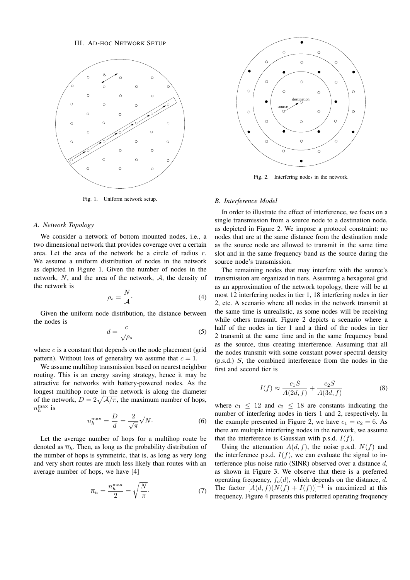

Fig. 1. Uniform network setup.

### *A. Network Topology*

We consider a network of bottom mounted nodes, i.e., a two dimensional network that provides coverage over a certain area. Let the area of the network be a circle of radius *r*. We assume a uniform distribution of nodes in the network as depicted in Figure 1. Given the number of nodes in the network, *N*, and the area of the network, *A*, the density of the network is

$$
\rho_s = \frac{N}{\mathcal{A}}.\tag{4}
$$

Given the uniform node distribution, the distance between the nodes is

$$
d = \frac{c}{\sqrt{\rho_s}}\tag{5}
$$

where *c* is a constant that depends on the node placement (grid pattern). Without loss of generality we assume that  $c = 1$ .

We assume multihop transmission based on nearest neighbor routing. This is an energy saving strategy, hence it may be attractive for networks with battery-powered nodes. As the longest multihop route in the network is along the diameter of the network,  $D = 2\sqrt{\frac{\mathcal{A}}{\pi}}$ , the maximum number of hops,  $n_h^{\text{max}}$  is

$$
n_h^{\text{max}} = \frac{D}{d} = \frac{2}{\sqrt{\pi}} \sqrt{N}.
$$
 (6)

Let the average number of hops for a multihop route be denoted as  $\overline{n}_h$ . Then, as long as the probability distribution of the number of hops is symmetric, that is, as long as very long and very short routes are much less likely than routes with an average number of hops, we have [4]

$$
\overline{n}_h = \frac{n_h^{\text{max}}}{2} = \sqrt{\frac{N}{\pi}}.\tag{7}
$$



Fig. 2. Interfering nodes in the network.

# *B. Interference Model*

In order to illustrate the effect of interference, we focus on a single transmission from a source node to a destination node, as depicted in Figure 2. We impose a protocol constraint: no nodes that are at the same distance from the destination node as the source node are allowed to transmit in the same time slot and in the same frequency band as the source during the source node's transmission.

The remaining nodes that may interfere with the source's transmission are organized in tiers. Assuming a hexagonal grid as an approximation of the network topology, there will be at most 12 interfering nodes in tier 1, 18 interfering nodes in tier 2, etc. A scenario where all nodes in the network transmit at the same time is unrealistic, as some nodes will be receiving while others transmit. Figure 2 depicts a scenario where a half of the nodes in tier 1 and a third of the nodes in tier 2 transmit at the same time and in the same frequency band as the source, thus creating interference. Assuming that all the nodes transmit with some constant power spectral density (p.s.d.) *S*, the combined interference from the nodes in the first and second tier is

$$
I(f) \approx \frac{c_1 S}{A(2d, f)} + \frac{c_2 S}{A(3d, f)}
$$
(8)

where  $c_1 \leq 12$  and  $c_2 \leq 18$  are constants indicating the number of interfering nodes in tiers 1 and 2, respectively. In the example presented in Figure 2, we have  $c_1 = c_2 = 6$ . As there are multiple interfering nodes in the network, we assume that the interference is Gaussian with p.s.d.  $I(f)$ .

Using the attenuation  $A(d, f)$ , the noise p.s.d.  $N(f)$  and the interference p.s.d.  $I(f)$ , we can evaluate the signal to interference plus noise ratio (SINR) observed over a distance *d*, as shown in Figure 3. We observe that there is a preferred operating frequency,  $f_o(d)$ , which depends on the distance, *d*. The factor  $[A(d, f)(N(f) + I(f))]^{-1}$  is maximized at this frequency. Figure 4 presents this preferred operating frequency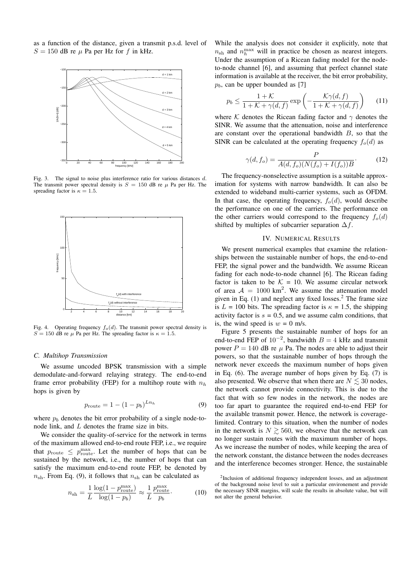as a function of the distance, given a transmit p.s.d. level of  $S = 150$  dB re  $\mu$  Pa per Hz for *f* in kHz.



Fig. 3. The signal to noise plus interference ratio for various distances *d*. The transmit power spectral density is  $S = 150$  dB re  $\mu$  Pa per Hz. The spreading factor is  $\kappa = 1.5$ .



Fig. 4. Operating frequency  $f_o(d)$ . The transmit power spectral density is  $S = 150$  dB re  $\mu$  Pa per Hz. The spreading factor is  $\kappa = 1.5$ .

### *C. Multihop Transmission*

We assume uncoded BPSK transmission with a simple demodulate-and-forward relaying strategy. The end-to-end frame error probability (FEP) for a multihop route with *n<sup>h</sup>* hops is given by

$$
p_{\text{route}} = 1 - (1 - p_b)^{Ln_h} \tag{9}
$$

where  $p_b$  denotes the bit error probability of a single node-tonode link, and *L* denotes the frame size in bits.

We consider the quality-of-service for the network in terms of the maximum allowed end-to-end route FEP, i.e., we require that  $p_{\text{route}} \leq p_{\text{route}}^{\max}$ . Let the number of hops that can be sustained by the network, i.e., the number of hops that can satisfy the maximum end-to-end route FEP, be denoted by  $n_{\rm sh}$ . From Eq. (9), it follows that  $n_{\rm sh}$  can be calculated as

$$
n_{\rm sh} = \frac{1}{L} \frac{\log(1 - p_{\rm route}^{\rm max})}{\log(1 - p_b)} \approx \frac{1}{L} \frac{p_{\rm route}^{\rm max}}{p_b}.
$$
 (10)

While the analysis does not consider it explicitly, note that  $n_{\text{sh}}$  and  $n_h^{\text{max}}$  will in practice be chosen as nearest integers. Under the assumption of a Ricean fading model for the nodeto-node channel [6], and assuming that perfect channel state information is available at the receiver, the bit error probability,  $p<sub>b</sub>$ , can be upper bounded as [7]

$$
p_b \le \frac{1+\mathcal{K}}{1+\mathcal{K} + \gamma(d,f)} \exp\left(-\frac{\mathcal{K}\gamma(d,f)}{1+\mathcal{K} + \gamma(d,f)}\right) \tag{11}
$$

where *K* denotes the Ricean fading factor and  $\gamma$  denotes the SINR. We assume that the attenuation, noise and interference are constant over the operational bandwidth *B*, so that the SINR can be calculated at the operating frequency  $f<sub>o</sub>(d)$  as

$$
\gamma(d, f_o) = \frac{P}{A(d, f_o)(N(f_o) + I(f_o))B}.
$$
\n(12)

The frequency-nonselective assumption is a suitable approximation for systems with narrow bandwidth. It can also be extended to wideband multi-carrier systems, such as OFDM. In that case, the operating frequency,  $f_o(d)$ , would describe the performance on one of the carriers. The performance on the other carriers would correspond to the frequency  $f_o(d)$ shifted by multiples of subcarrier separation ∆*f*.

# IV. NUMERICAL RESULTS

We present numerical examples that examine the relationships between the sustainable number of hops, the end-to-end FEP, the signal power and the bandwidth. We assume Ricean fading for each node-to-node channel [6]. The Ricean fading factor is taken to be  $K = 10$ . We assume circular network of area  $A = 1000 \text{ km}^2$ . We assume the attenuation model given in Eq.  $(1)$  and neglect any fixed losses.<sup>2</sup> The frame size is  $L = 100$  bits. The spreading factor is  $\kappa = 1.5$ , the shipping activity factor is  $s = 0.5$ , and we assume calm conditions, that is, the wind speed is  $w = 0$  m/s.

Figure 5 presents the sustainable number of hops for an end-to-end FEP of  $10^{-2}$ , bandwidth  $B = 4$  kHz and transmit power  $P = 140$  dB re  $\mu$  Pa. The nodes are able to adjust their powers, so that the sustainable number of hops through the network never exceeds the maximum number of hops given in Eq. (6). The average number of hops given by Eq. (7) is also presented. We observe that when there are  $N \leq 30$  nodes, the network cannot provide connectivity. This is due to the fact that with so few nodes in the network, the nodes are too far apart to guarantee the required end-to-end FEP for the available transmit power. Hence, the network is coveragelimited. Contrary to this situation, when the number of nodes in the network is  $N \ge 560$ , we observe that the network can no longer sustain routes with the maximum number of hops. As we increase the number of nodes, while keeping the area of the network constant, the distance between the nodes decreases and the interference becomes stronger. Hence, the sustainable

<sup>&</sup>lt;sup>2</sup>Inclusion of additional frequency independent losses, and an adjustment of the background noise level to suit a particular environement and provide the necessary SINR margins, will scale the results in absolute value, but will not alter the general behavior.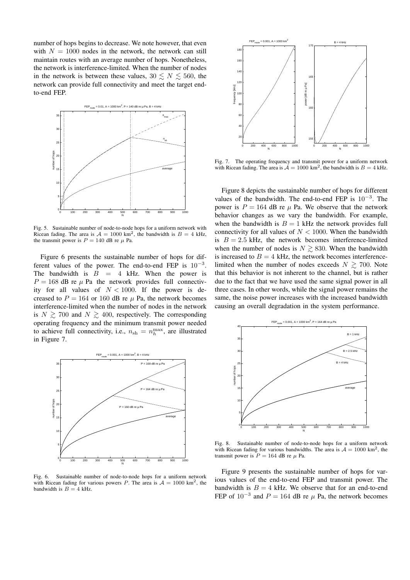number of hops begins to decrease. We note however, that even with  $N = 1000$  nodes in the network, the network can still maintain routes with an average number of hops. Nonetheless, the network is interference-limited. When the number of nodes in the network is between these values,  $30 \leq N \leq 560$ , the network can provide full connectivity and meet the target endto-end FEP.



Fig. 5. Sustainable number of node-to-node hops for a uniform network with Ricean fading. The area is  $A = 1000 \text{ km}^2$ , the bandwidth is  $B = 4 \text{ kHz}$ , the transmit power is  $P = 140$  dB re  $\mu$  Pa.

Figure 6 presents the sustainable number of hops for different values of the power. The end-to-end FEP is 10*−*<sup>3</sup> . The bandwidth is  $B = 4$  kHz. When the power is  $P = 168$  dB re  $\mu$  Pa the network provides full connectivity for all values of  $N < 1000$ . If the power is decreased to  $P = 164$  or 160 dB re  $\mu$  Pa, the network becomes interference-limited when the number of nodes in the network is  $N \ge 700$  and  $N \ge 400$ , respectively. The corresponding operating frequency and the minimum transmit power needed to achieve full connectivity, i.e.,  $n_{\text{sh}} = n_h^{\text{max}}$ , are illustrated in Figure 7.



Fig. 6. Sustainable number of node-to-node hops for a uniform network with Ricean fading for various powers *P*. The area is  $A = 1000 \text{ km}^2$ , the bandwidth is  $B = 4$  kHz.



Fig. 7. The operating frequency and transmit power for a uniform network with Ricean fading. The area is  $\mathcal{A} = 1000 \text{ km}^2$ , the bandwidth is  $B = 4 \text{ kHz}$ .

Figure 8 depicts the sustainable number of hops for different values of the bandwidth. The end-to-end FEP is 10*−*<sup>3</sup> . The power is  $P = 164$  dB re  $\mu$  Pa. We observe that the network behavior changes as we vary the bandwidth. For example, when the bandwidth is  $B = 1$  kHz the network provides full connectivity for all values of  $N < 1000$ . When the bandwidth is  $B = 2.5$  kHz, the network becomes interference-limited when the number of nodes is  $N \gtrsim 830$ . When the bandwidth is increased to  $B = 4$  kHz, the network becomes interferencelimited when the number of nodes exceeds  $N \ge 700$ . Note that this behavior is not inherent to the channel, but is rather due to the fact that we have used the same signal power in all three cases. In other words, while the signal power remains the same, the noise power increases with the increased bandwidth causing an overall degradation in the system performance.



Fig. 8. Sustainable number of node-to-node hops for a uniform network with Ricean fading for various bandwidths. The area is  $A = 1000 \text{ km}^2$ , the transmit power is  $P = 164$  dB re  $\mu$  Pa.

Figure 9 presents the sustainable number of hops for various values of the end-to-end FEP and transmit power. The bandwidth is  $B = 4$  kHz. We observe that for an end-to-end FEP of  $10^{-3}$  and  $P = 164$  dB re  $\mu$  Pa, the network becomes